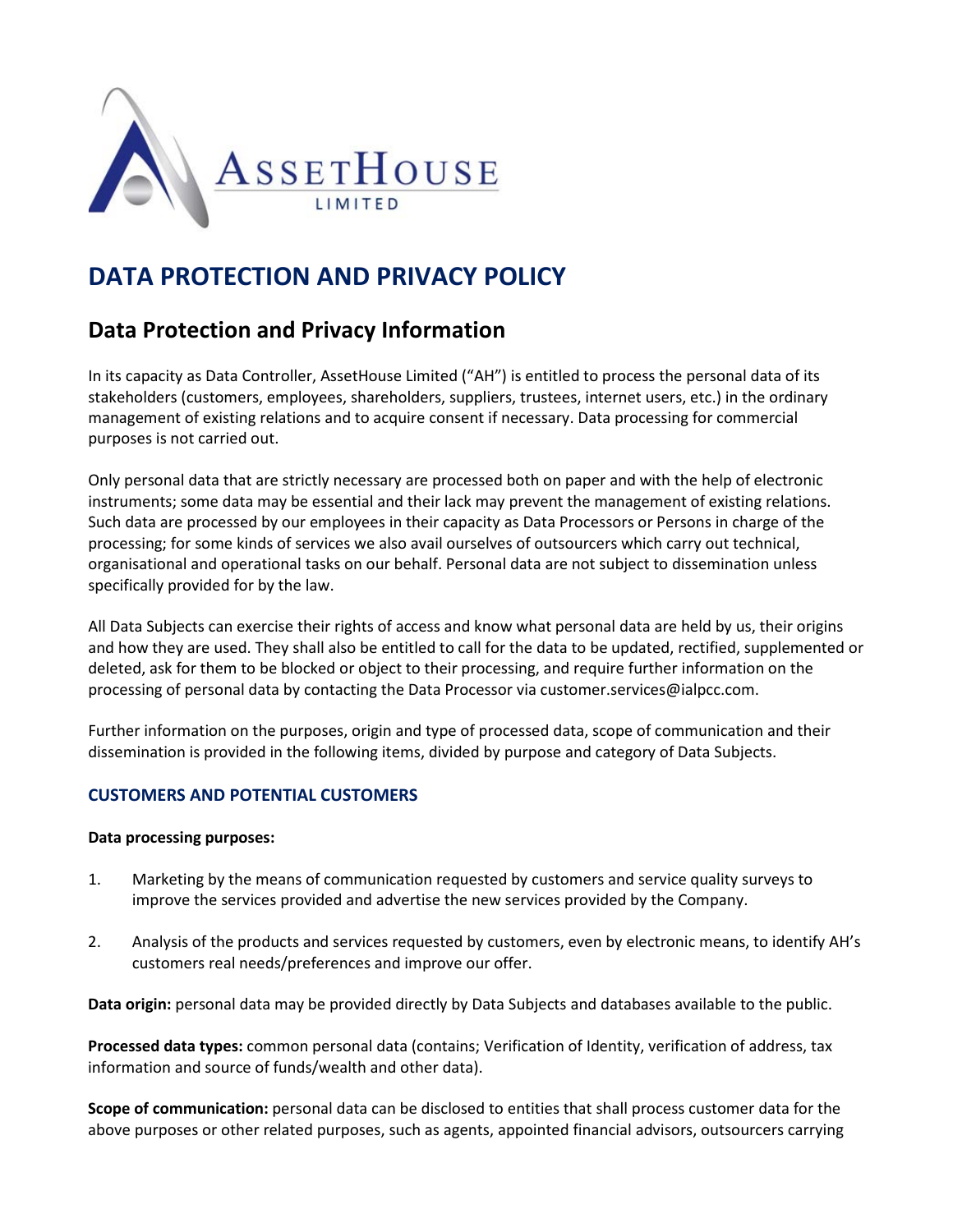

## **DATA PROTECTION AND PRIVACY POLICY**

## **Data Protection and Privacy Information**

In its capacity as Data Controller, AssetHouse Limited ("AH") is entitled to process the personal data of its stakeholders (customers, employees, shareholders, suppliers, trustees, internet users, etc.) in the ordinary management of existing relations and to acquire consent if necessary. Data processing for commercial purposes is not carried out.

Only personal data that are strictly necessary are processed both on paper and with the help of electronic instruments; some data may be essential and their lack may prevent the management of existing relations. Such data are processed by our employees in their capacity as Data Processors or Persons in charge of the processing; for some kinds of services we also avail ourselves of outsourcers which carry out technical, organisational and operational tasks on our behalf. Personal data are not subject to dissemination unless specifically provided for by the law.

All Data Subjects can exercise their rights of access and know what personal data are held by us, their origins and how they are used. They shall also be entitled to call for the data to be updated, rectified, supplemented or deleted, ask for them to be blocked or object to their processing, and require further information on the processing of personal data by contacting the Data Processor via customer.services@ialpcc.com.

Further information on the purposes, origin and type of processed data, scope of communication and their dissemination is provided in the following items, divided by purpose and category of Data Subjects.

### **CUSTOMERS AND POTENTIAL CUSTOMERS**

#### **Data processing purposes:**

- 1. Marketing by the means of communication requested by customers and service quality surveys to improve the services provided and advertise the new services provided by the Company.
- 2. Analysis of the products and services requested by customers, even by electronic means, to identify AH's customers real needs/preferences and improve our offer.

**Data origin:** personal data may be provided directly by Data Subjects and databases available to the public.

**Processed data types:** common personal data (contains; Verification of Identity, verification of address, tax information and source of funds/wealth and other data).

**Scope of communication:** personal data can be disclosed to entities that shall process customer data for the above purposes or other related purposes, such as agents, appointed financial advisors, outsourcers carrying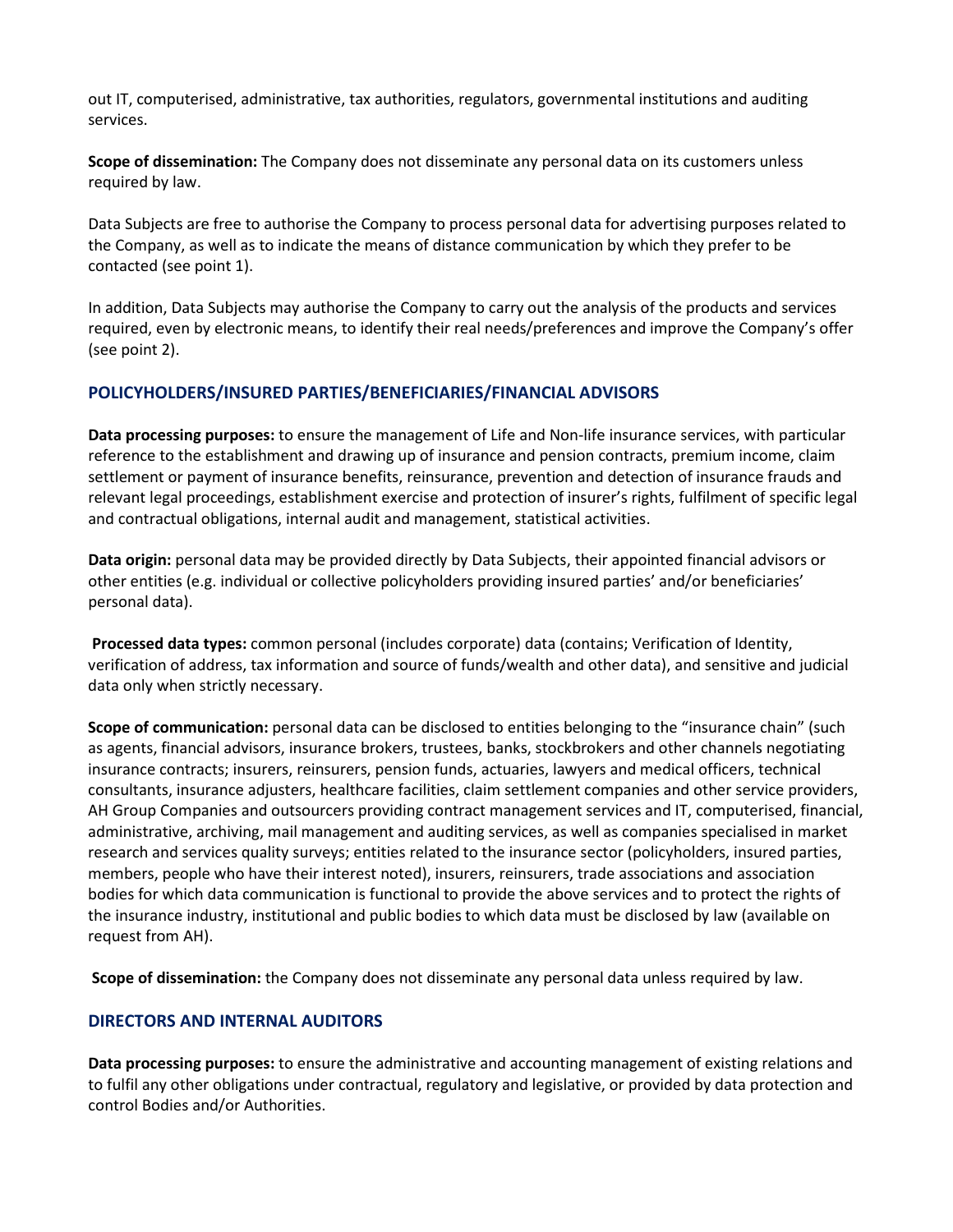out IT, computerised, administrative, tax authorities, regulators, governmental institutions and auditing services.

**Scope of dissemination:** The Company does not disseminate any personal data on its customers unless required by law.

Data Subjects are free to authorise the Company to process personal data for advertising purposes related to the Company, as well as to indicate the means of distance communication by which they prefer to be contacted (see point 1).

In addition, Data Subjects may authorise the Company to carry out the analysis of the products and services required, even by electronic means, to identify their real needs/preferences and improve the Company's offer (see point 2).

#### **POLICYHOLDERS/INSURED PARTIES/BENEFICIARIES/FINANCIAL ADVISORS**

**Data processing purposes:** to ensure the management of Life and Non-life insurance services, with particular reference to the establishment and drawing up of insurance and pension contracts, premium income, claim settlement or payment of insurance benefits, reinsurance, prevention and detection of insurance frauds and relevant legal proceedings, establishment exercise and protection of insurer's rights, fulfilment of specific legal and contractual obligations, internal audit and management, statistical activities.

**Data origin:** personal data may be provided directly by Data Subjects, their appointed financial advisors or other entities (e.g. individual or collective policyholders providing insured parties' and/or beneficiaries' personal data).

**Processed data types:** common personal (includes corporate) data (contains; Verification of Identity, verification of address, tax information and source of funds/wealth and other data), and sensitive and judicial data only when strictly necessary.

**Scope of communication:** personal data can be disclosed to entities belonging to the "insurance chain" (such as agents, financial advisors, insurance brokers, trustees, banks, stockbrokers and other channels negotiating insurance contracts; insurers, reinsurers, pension funds, actuaries, lawyers and medical officers, technical consultants, insurance adjusters, healthcare facilities, claim settlement companies and other service providers, AH Group Companies and outsourcers providing contract management services and IT, computerised, financial, administrative, archiving, mail management and auditing services, as well as companies specialised in market research and services quality surveys; entities related to the insurance sector (policyholders, insured parties, members, people who have their interest noted), insurers, reinsurers, trade associations and association bodies for which data communication is functional to provide the above services and to protect the rights of the insurance industry, institutional and public bodies to which data must be disclosed by law (available on request from AH).

**Scope of dissemination:** the Company does not disseminate any personal data unless required by law.

### **DIRECTORS AND INTERNAL AUDITORS**

**Data processing purposes:** to ensure the administrative and accounting management of existing relations and to fulfil any other obligations under contractual, regulatory and legislative, or provided by data protection and control Bodies and/or Authorities.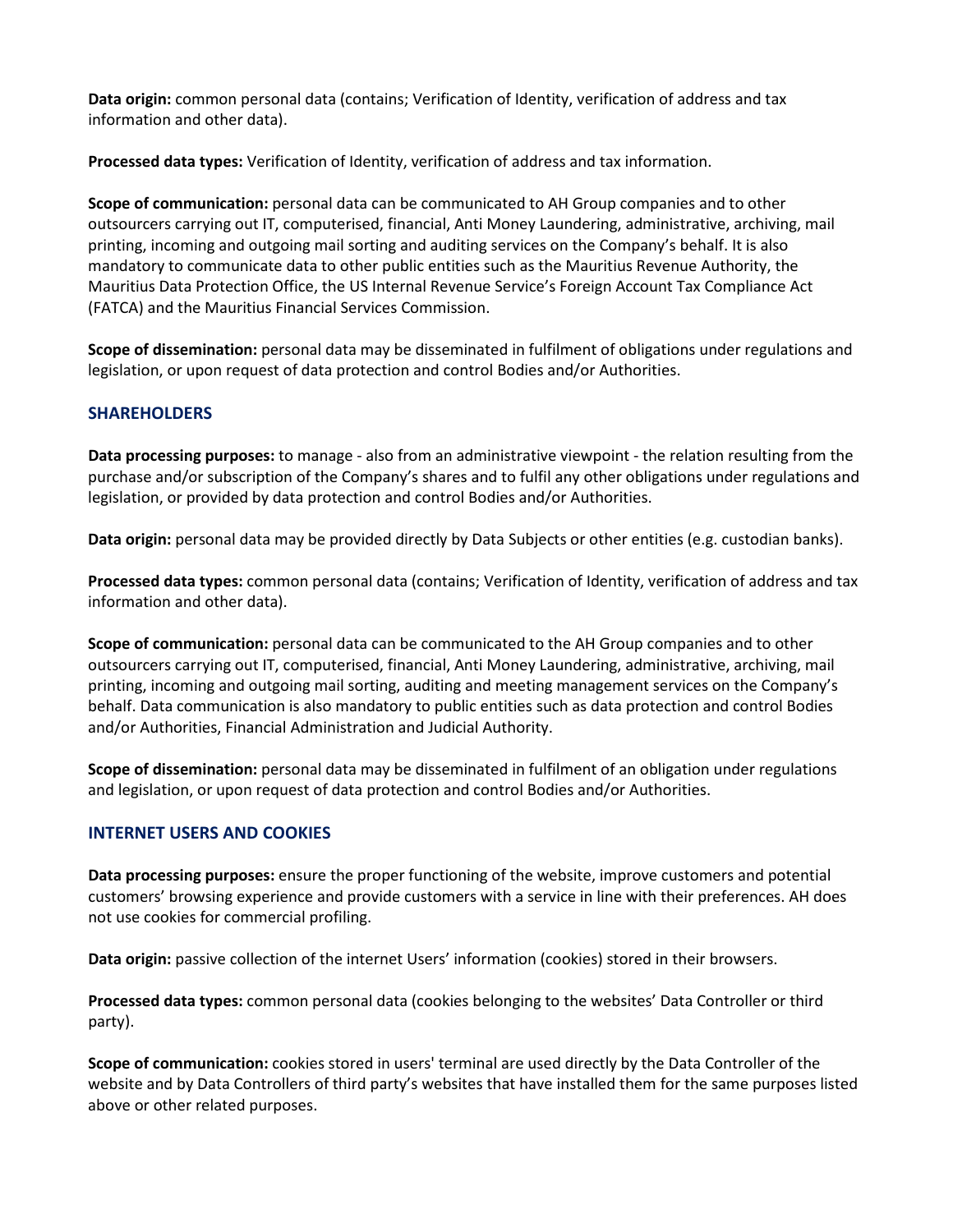**Data origin:** common personal data (contains; Verification of Identity, verification of address and tax information and other data).

**Processed data types:** Verification of Identity, verification of address and tax information.

**Scope of communication:** personal data can be communicated to AH Group companies and to other outsourcers carrying out IT, computerised, financial, Anti Money Laundering, administrative, archiving, mail printing, incoming and outgoing mail sorting and auditing services on the Company's behalf. It is also mandatory to communicate data to other public entities such as the Mauritius Revenue Authority, the Mauritius Data Protection Office, the US Internal Revenue Service's Foreign Account Tax Compliance Act (FATCA) and the Mauritius Financial Services Commission.

**Scope of dissemination:** personal data may be disseminated in fulfilment of obligations under regulations and legislation, or upon request of data protection and control Bodies and/or Authorities.

#### **SHAREHOLDERS**

**Data processing purposes:** to manage - also from an administrative viewpoint - the relation resulting from the purchase and/or subscription of the Company's shares and to fulfil any other obligations under regulations and legislation, or provided by data protection and control Bodies and/or Authorities.

**Data origin:** personal data may be provided directly by Data Subjects or other entities (e.g. custodian banks).

**Processed data types:** common personal data (contains; Verification of Identity, verification of address and tax information and other data).

**Scope of communication:** personal data can be communicated to the AH Group companies and to other outsourcers carrying out IT, computerised, financial, Anti Money Laundering, administrative, archiving, mail printing, incoming and outgoing mail sorting, auditing and meeting management services on the Company's behalf. Data communication is also mandatory to public entities such as data protection and control Bodies and/or Authorities, Financial Administration and Judicial Authority.

**Scope of dissemination:** personal data may be disseminated in fulfilment of an obligation under regulations and legislation, or upon request of data protection and control Bodies and/or Authorities.

#### **INTERNET USERS AND COOKIES**

**Data processing purposes:** ensure the proper functioning of the website, improve customers and potential customers' browsing experience and provide customers with a service in line with their preferences. AH does not use cookies for commercial profiling.

**Data origin:** passive collection of the internet Users' information (cookies) stored in their browsers.

**Processed data types:** common personal data (cookies belonging to the websites' Data Controller or third party).

**Scope of communication:** cookies stored in users' terminal are used directly by the Data Controller of the website and by Data Controllers of third party's websites that have installed them for the same purposes listed above or other related purposes.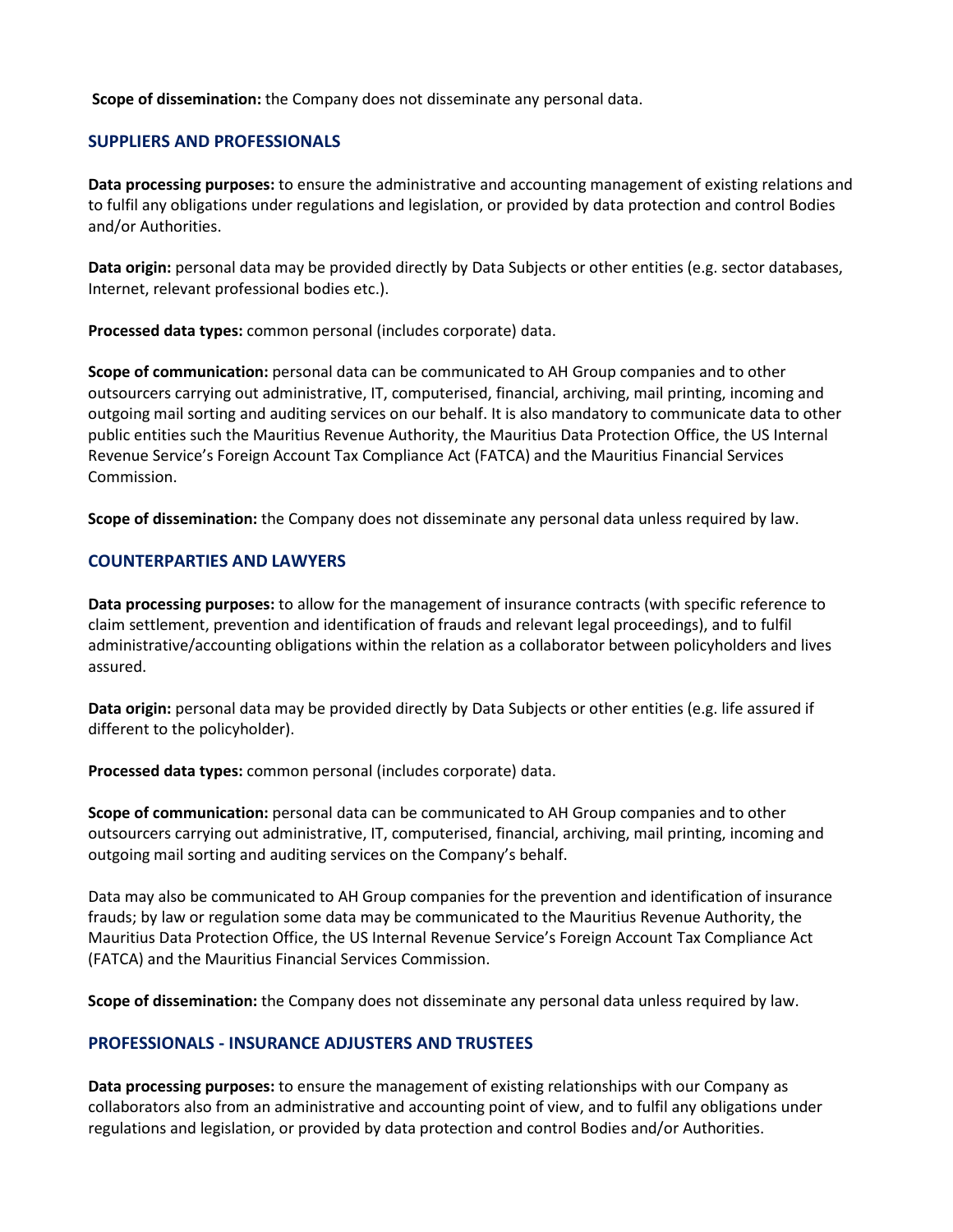#### **Scope of dissemination:** the Company does not disseminate any personal data.

#### **SUPPLIERS AND PROFESSIONALS**

**Data processing purposes:** to ensure the administrative and accounting management of existing relations and to fulfil any obligations under regulations and legislation, or provided by data protection and control Bodies and/or Authorities.

**Data origin:** personal data may be provided directly by Data Subjects or other entities (e.g. sector databases, Internet, relevant professional bodies etc.).

**Processed data types:** common personal (includes corporate) data.

**Scope of communication:** personal data can be communicated to AH Group companies and to other outsourcers carrying out administrative, IT, computerised, financial, archiving, mail printing, incoming and outgoing mail sorting and auditing services on our behalf. It is also mandatory to communicate data to other public entities such the Mauritius Revenue Authority, the Mauritius Data Protection Office, the US Internal Revenue Service's Foreign Account Tax Compliance Act (FATCA) and the Mauritius Financial Services Commission.

**Scope of dissemination:** the Company does not disseminate any personal data unless required by law.

#### **COUNTERPARTIES AND LAWYERS**

**Data processing purposes:** to allow for the management of insurance contracts (with specific reference to claim settlement, prevention and identification of frauds and relevant legal proceedings), and to fulfil administrative/accounting obligations within the relation as a collaborator between policyholders and lives assured.

**Data origin:** personal data may be provided directly by Data Subjects or other entities (e.g. life assured if different to the policyholder).

**Processed data types:** common personal (includes corporate) data.

**Scope of communication:** personal data can be communicated to AH Group companies and to other outsourcers carrying out administrative, IT, computerised, financial, archiving, mail printing, incoming and outgoing mail sorting and auditing services on the Company's behalf.

Data may also be communicated to AH Group companies for the prevention and identification of insurance frauds; by law or regulation some data may be communicated to the Mauritius Revenue Authority, the Mauritius Data Protection Office, the US Internal Revenue Service's Foreign Account Tax Compliance Act (FATCA) and the Mauritius Financial Services Commission.

**Scope of dissemination:** the Company does not disseminate any personal data unless required by law.

#### **PROFESSIONALS - INSURANCE ADJUSTERS AND TRUSTEES**

**Data processing purposes:** to ensure the management of existing relationships with our Company as collaborators also from an administrative and accounting point of view, and to fulfil any obligations under regulations and legislation, or provided by data protection and control Bodies and/or Authorities.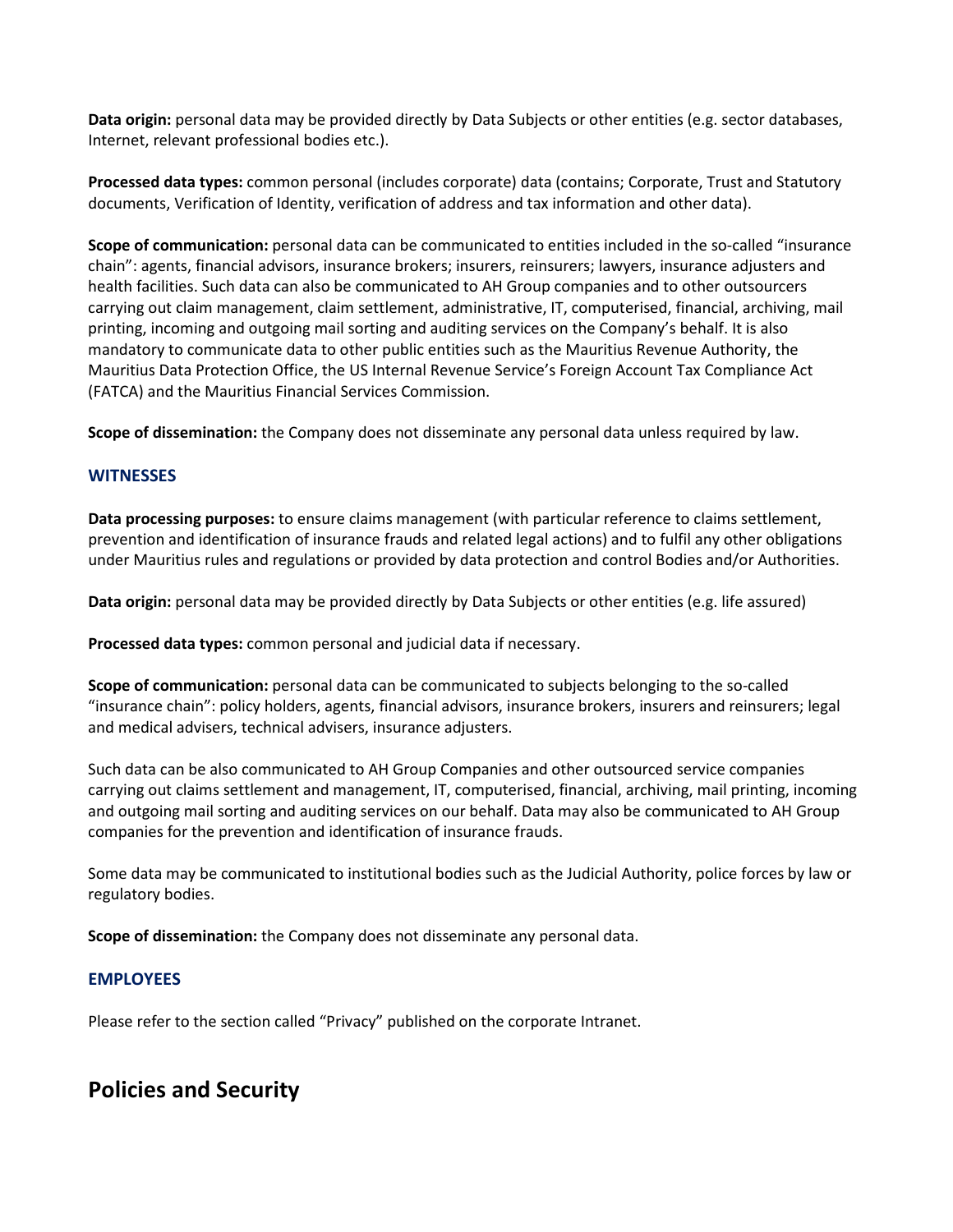**Data origin:** personal data may be provided directly by Data Subjects or other entities (e.g. sector databases, Internet, relevant professional bodies etc.).

**Processed data types:** common personal (includes corporate) data (contains; Corporate, Trust and Statutory documents, Verification of Identity, verification of address and tax information and other data).

**Scope of communication:** personal data can be communicated to entities included in the so-called "insurance chain": agents, financial advisors, insurance brokers; insurers, reinsurers; lawyers, insurance adjusters and health facilities. Such data can also be communicated to AH Group companies and to other outsourcers carrying out claim management, claim settlement, administrative, IT, computerised, financial, archiving, mail printing, incoming and outgoing mail sorting and auditing services on the Company's behalf. It is also mandatory to communicate data to other public entities such as the Mauritius Revenue Authority, the Mauritius Data Protection Office, the US Internal Revenue Service's Foreign Account Tax Compliance Act (FATCA) and the Mauritius Financial Services Commission.

**Scope of dissemination:** the Company does not disseminate any personal data unless required by law.

#### **WITNESSES**

**Data processing purposes:** to ensure claims management (with particular reference to claims settlement, prevention and identification of insurance frauds and related legal actions) and to fulfil any other obligations under Mauritius rules and regulations or provided by data protection and control Bodies and/or Authorities.

**Data origin:** personal data may be provided directly by Data Subjects or other entities (e.g. life assured)

**Processed data types:** common personal and judicial data if necessary.

**Scope of communication:** personal data can be communicated to subjects belonging to the so-called "insurance chain": policy holders, agents, financial advisors, insurance brokers, insurers and reinsurers; legal and medical advisers, technical advisers, insurance adjusters.

Such data can be also communicated to AH Group Companies and other outsourced service companies carrying out claims settlement and management, IT, computerised, financial, archiving, mail printing, incoming and outgoing mail sorting and auditing services on our behalf. Data may also be communicated to AH Group companies for the prevention and identification of insurance frauds.

Some data may be communicated to institutional bodies such as the Judicial Authority, police forces by law or regulatory bodies.

**Scope of dissemination:** the Company does not disseminate any personal data.

#### **EMPLOYEES**

Please refer to the section called "Privacy" published on the corporate Intranet.

## **Policies and Security**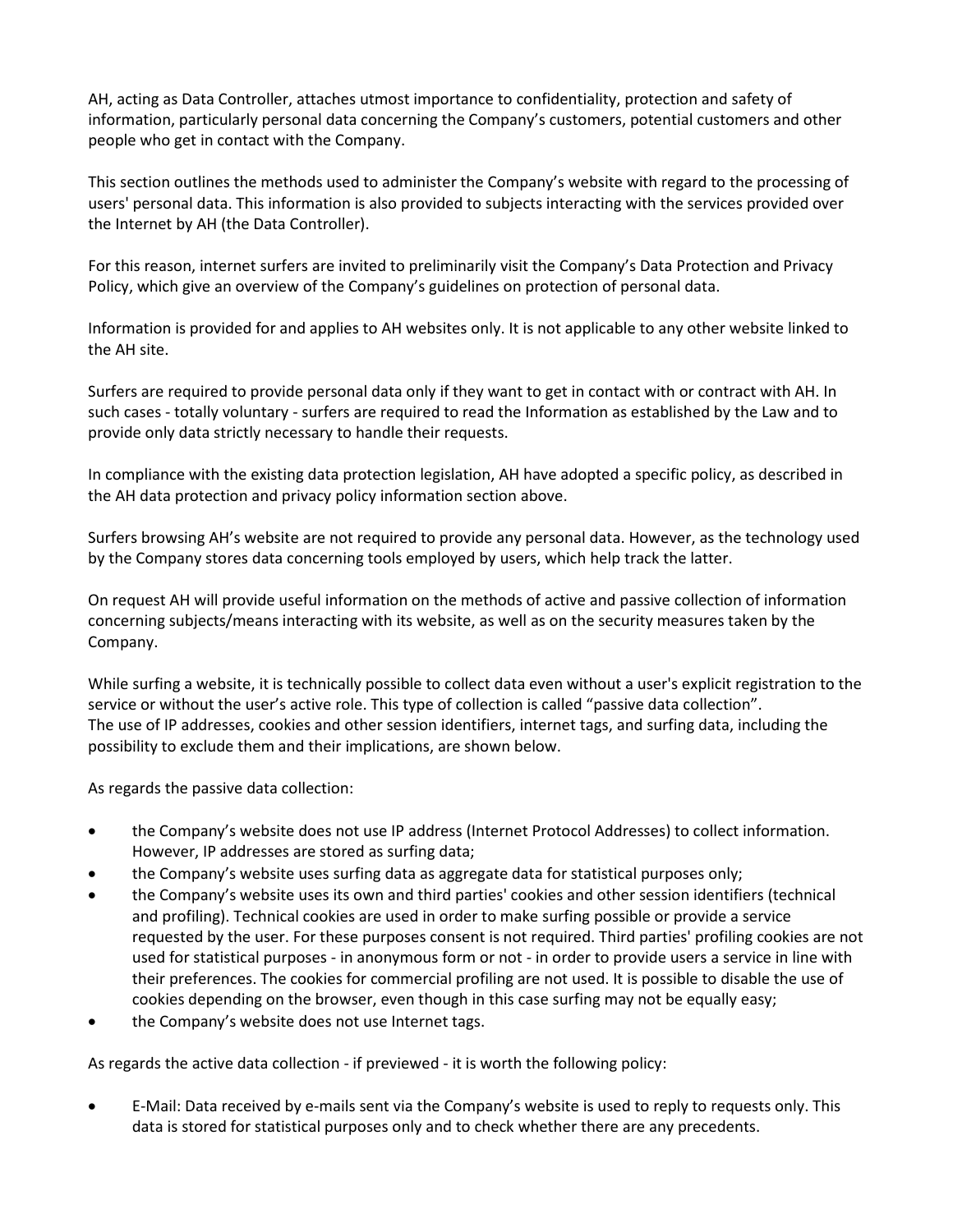AH, acting as Data Controller, attaches utmost importance to confidentiality, protection and safety of information, particularly personal data concerning the Company's customers, potential customers and other people who get in contact with the Company.

This section outlines the methods used to administer the Company's website with regard to the processing of users' personal data. This information is also provided to subjects interacting with the services provided over the Internet by AH (the Data Controller).

For this reason, internet surfers are invited to preliminarily visit the Company's Data Protection and Privacy Policy, which give an overview of the Company's guidelines on protection of personal data.

Information is provided for and applies to AH websites only. It is not applicable to any other website linked to the AH site.

Surfers are required to provide personal data only if they want to get in contact with or contract with AH. In such cases - totally voluntary - surfers are required to read the Information as established by the Law and to provide only data strictly necessary to handle their requests.

In compliance with the existing data protection legislation, AH have adopted a specific policy, as described in the AH data protection and privacy policy information section above.

Surfers browsing AH's website are not required to provide any personal data. However, as the technology used by the Company stores data concerning tools employed by users, which help track the latter.

On request AH will provide useful information on the methods of active and passive collection of information concerning subjects/means interacting with its website, as well as on the security measures taken by the Company.

While surfing a website, it is technically possible to collect data even without a user's explicit registration to the service or without the user's active role. This type of collection is called "passive data collection". The use of IP addresses, cookies and other session identifiers, internet tags, and surfing data, including the possibility to exclude them and their implications, are shown below.

As regards the passive data collection:

- the Company's website does not use IP address (Internet Protocol Addresses) to collect information. However, IP addresses are stored as surfing data;
- the Company's website uses surfing data as aggregate data for statistical purposes only;
- the Company's website uses its own and third parties' cookies and other session identifiers (technical and profiling). Technical cookies are used in order to make surfing possible or provide a service requested by the user. For these purposes consent is not required. Third parties' profiling cookies are not used for statistical purposes - in anonymous form or not - in order to provide users a service in line with their preferences. The cookies for commercial profiling are not used. It is possible to disable the use of cookies depending on the browser, even though in this case surfing may not be equally easy;
- the Company's website does not use Internet tags.

As regards the active data collection - if previewed - it is worth the following policy:

• E-Mail: Data received by e-mails sent via the Company's website is used to reply to requests only. This data is stored for statistical purposes only and to check whether there are any precedents.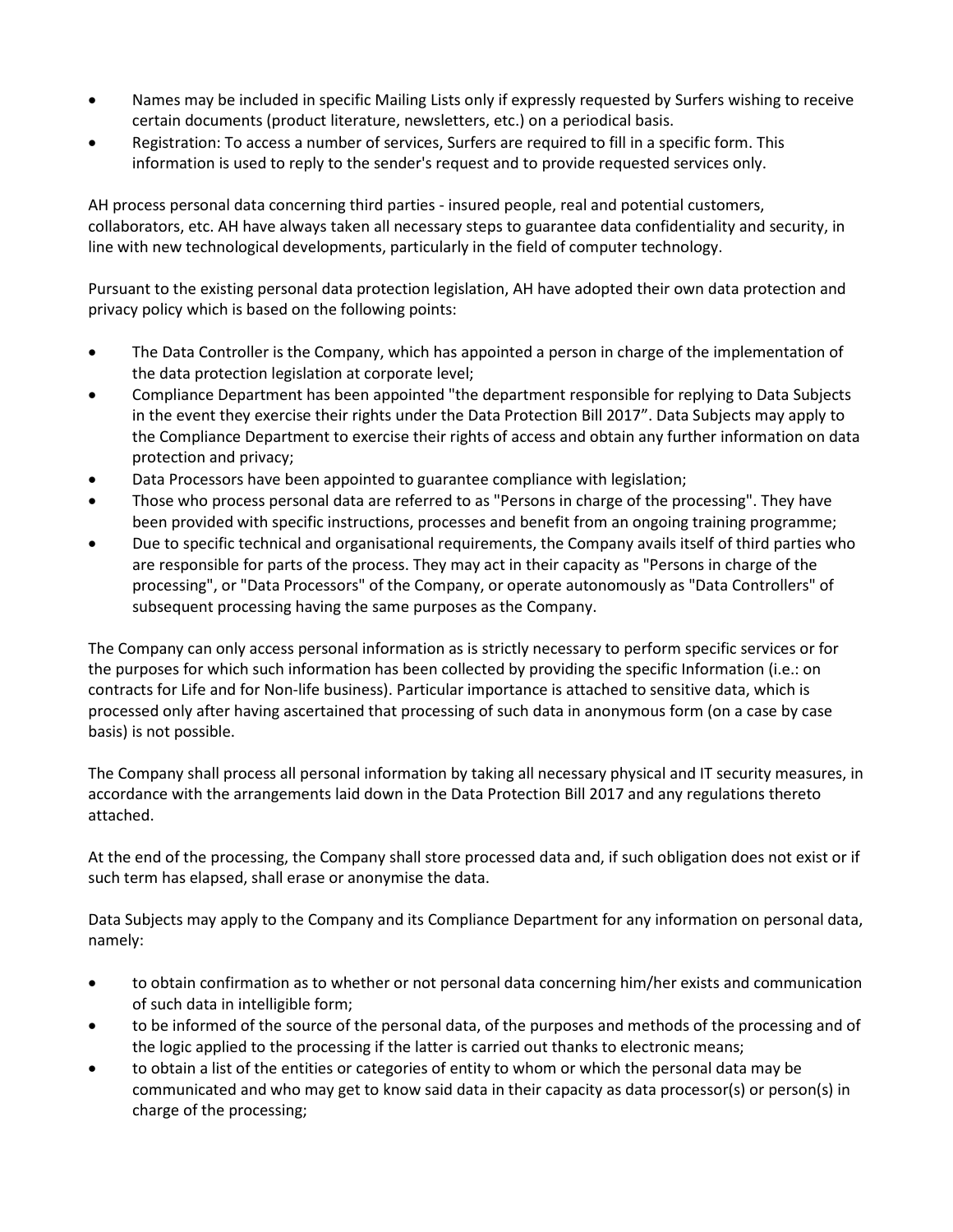- Names may be included in specific Mailing Lists only if expressly requested by Surfers wishing to receive certain documents (product literature, newsletters, etc.) on a periodical basis.
- Registration: To access a number of services, Surfers are required to fill in a specific form. This information is used to reply to the sender's request and to provide requested services only.

AH process personal data concerning third parties - insured people, real and potential customers, collaborators, etc. AH have always taken all necessary steps to guarantee data confidentiality and security, in line with new technological developments, particularly in the field of computer technology.

Pursuant to the existing personal data protection legislation, AH have adopted their own data protection and privacy policy which is based on the following points:

- The Data Controller is the Company, which has appointed a person in charge of the implementation of the data protection legislation at corporate level;
- Compliance Department has been appointed "the department responsible for replying to Data Subjects in the event they exercise their rights under the Data Protection Bill 2017". Data Subjects may apply to the Compliance Department to exercise their rights of access and obtain any further information on data protection and privacy;
- Data Processors have been appointed to guarantee compliance with legislation;
- Those who process personal data are referred to as "Persons in charge of the processing". They have been provided with specific instructions, processes and benefit from an ongoing training programme;
- Due to specific technical and organisational requirements, the Company avails itself of third parties who are responsible for parts of the process. They may act in their capacity as "Persons in charge of the processing", or "Data Processors" of the Company, or operate autonomously as "Data Controllers" of subsequent processing having the same purposes as the Company.

The Company can only access personal information as is strictly necessary to perform specific services or for the purposes for which such information has been collected by providing the specific Information (i.e.: on contracts for Life and for Non-life business). Particular importance is attached to sensitive data, which is processed only after having ascertained that processing of such data in anonymous form (on a case by case basis) is not possible.

The Company shall process all personal information by taking all necessary physical and IT security measures, in accordance with the arrangements laid down in the Data Protection Bill 2017 and any regulations thereto attached.

At the end of the processing, the Company shall store processed data and, if such obligation does not exist or if such term has elapsed, shall erase or anonymise the data.

Data Subjects may apply to the Company and its Compliance Department for any information on personal data, namely:

- to obtain confirmation as to whether or not personal data concerning him/her exists and communication of such data in intelligible form;
- to be informed of the source of the personal data, of the purposes and methods of the processing and of the logic applied to the processing if the latter is carried out thanks to electronic means;
- to obtain a list of the entities or categories of entity to whom or which the personal data may be communicated and who may get to know said data in their capacity as data processor(s) or person(s) in charge of the processing;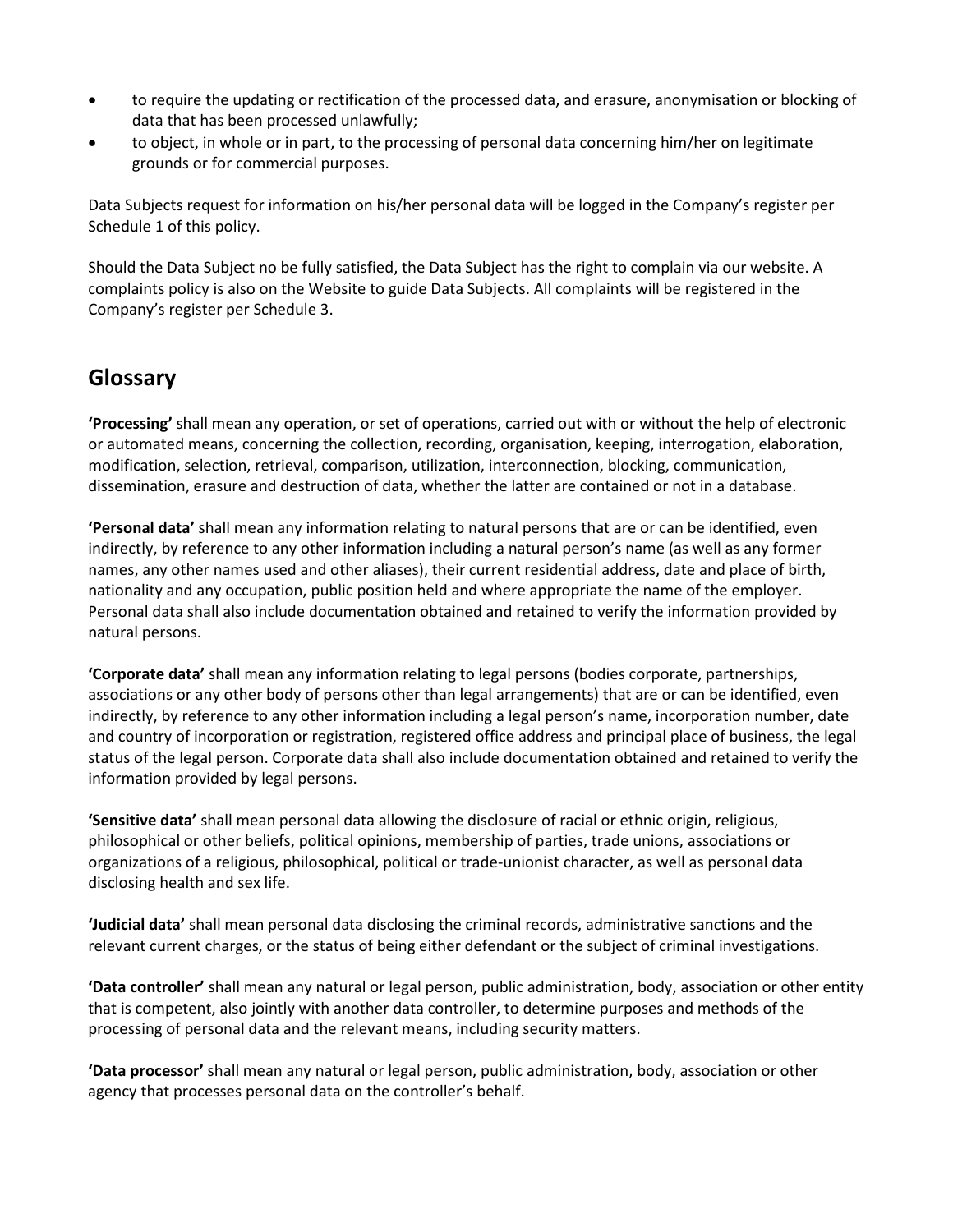- to require the updating or rectification of the processed data, and erasure, anonymisation or blocking of data that has been processed unlawfully;
- to object, in whole or in part, to the processing of personal data concerning him/her on legitimate grounds or for commercial purposes.

Data Subjects request for information on his/her personal data will be logged in the Company's register per Schedule 1 of this policy.

Should the Data Subject no be fully satisfied, the Data Subject has the right to complain via our website. A complaints policy is also on the Website to guide Data Subjects. All complaints will be registered in the Company's register per Schedule 3.

## **Glossary**

**'Processing'** shall mean any operation, or set of operations, carried out with or without the help of electronic or automated means, concerning the collection, recording, organisation, keeping, interrogation, elaboration, modification, selection, retrieval, comparison, utilization, interconnection, blocking, communication, dissemination, erasure and destruction of data, whether the latter are contained or not in a database.

**'Personal data'** shall mean any information relating to natural persons that are or can be identified, even indirectly, by reference to any other information including a natural person's name (as well as any former names, any other names used and other aliases), their current residential address, date and place of birth, nationality and any occupation, public position held and where appropriate the name of the employer. Personal data shall also include documentation obtained and retained to verify the information provided by natural persons.

**'Corporate data'** shall mean any information relating to legal persons (bodies corporate, partnerships, associations or any other body of persons other than legal arrangements) that are or can be identified, even indirectly, by reference to any other information including a legal person's name, incorporation number, date and country of incorporation or registration, registered office address and principal place of business, the legal status of the legal person. Corporate data shall also include documentation obtained and retained to verify the information provided by legal persons.

**'Sensitive data'** shall mean personal data allowing the disclosure of racial or ethnic origin, religious, philosophical or other beliefs, political opinions, membership of parties, trade unions, associations or organizations of a religious, philosophical, political or trade-unionist character, as well as personal data disclosing health and sex life.

**'Judicial data'** shall mean personal data disclosing the criminal records, administrative sanctions and the relevant current charges, or the status of being either defendant or the subject of criminal investigations.

**'Data controller'** shall mean any natural or legal person, public administration, body, association or other entity that is competent, also jointly with another data controller, to determine purposes and methods of the processing of personal data and the relevant means, including security matters.

**'Data processor'** shall mean any natural or legal person, public administration, body, association or other agency that processes personal data on the controller's behalf.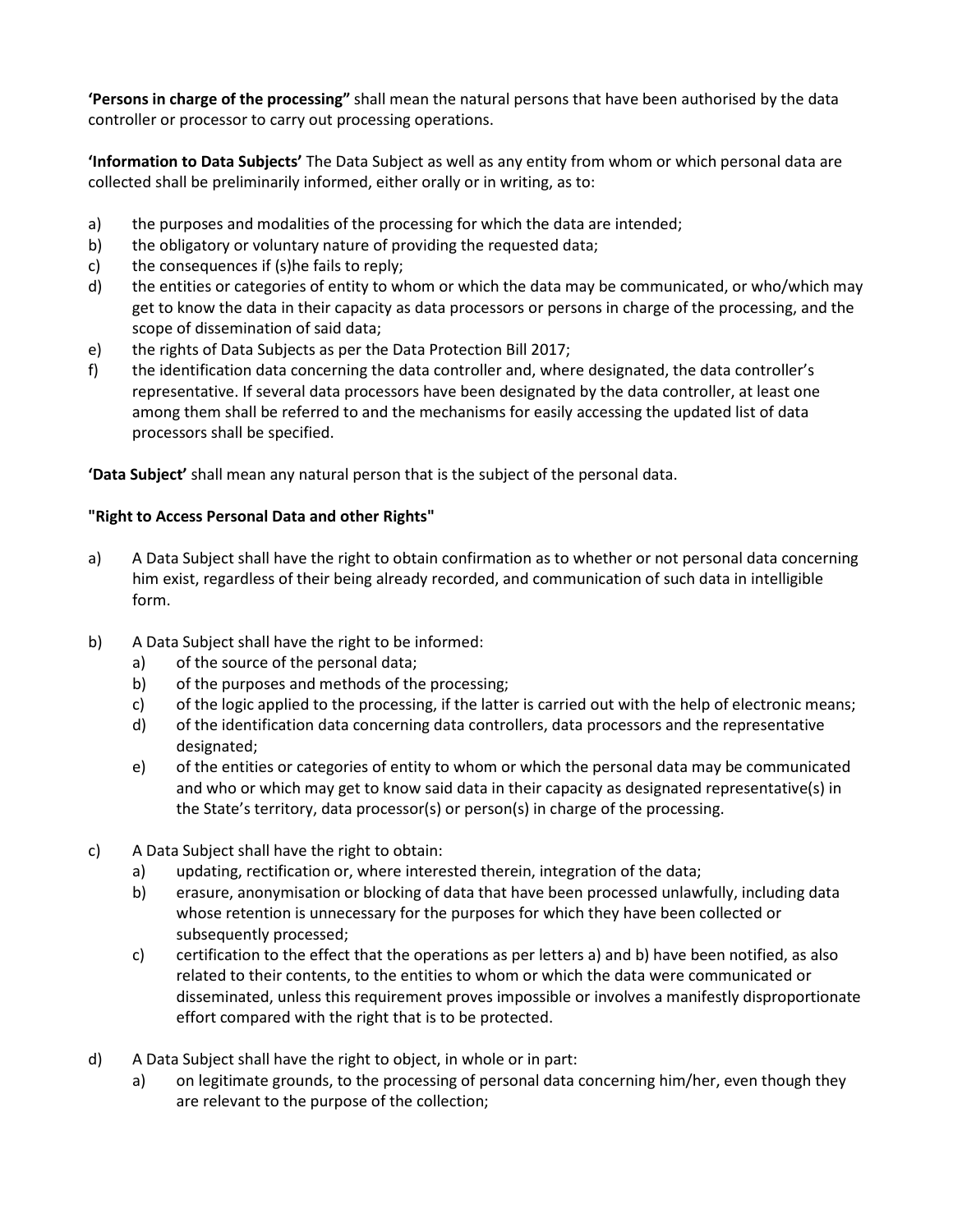**'Persons in charge of the processing"** shall mean the natural persons that have been authorised by the data controller or processor to carry out processing operations.

**'Information to Data Subjects'** The Data Subject as well as any entity from whom or which personal data are collected shall be preliminarily informed, either orally or in writing, as to:

- a) the purposes and modalities of the processing for which the data are intended;
- b) the obligatory or voluntary nature of providing the requested data;
- c) the consequences if (s)he fails to reply;
- d) the entities or categories of entity to whom or which the data may be communicated, or who/which may get to know the data in their capacity as data processors or persons in charge of the processing, and the scope of dissemination of said data;
- e) the rights of Data Subjects as per the Data Protection Bill 2017;
- f) the identification data concerning the data controller and, where designated, the data controller's representative. If several data processors have been designated by the data controller, at least one among them shall be referred to and the mechanisms for easily accessing the updated list of data processors shall be specified.

**'Data Subject'** shall mean any natural person that is the subject of the personal data.

#### **"Right to Access Personal Data and other Rights"**

- a) A Data Subject shall have the right to obtain confirmation as to whether or not personal data concerning him exist, regardless of their being already recorded, and communication of such data in intelligible form.
- b) A Data Subject shall have the right to be informed:
	- a) of the source of the personal data;
	- b) of the purposes and methods of the processing;
	- c) of the logic applied to the processing, if the latter is carried out with the help of electronic means;
	- d) of the identification data concerning data controllers, data processors and the representative designated;
	- e) of the entities or categories of entity to whom or which the personal data may be communicated and who or which may get to know said data in their capacity as designated representative(s) in the State's territory, data processor(s) or person(s) in charge of the processing.
- c) A Data Subject shall have the right to obtain:
	- a) updating, rectification or, where interested therein, integration of the data;
	- b) erasure, anonymisation or blocking of data that have been processed unlawfully, including data whose retention is unnecessary for the purposes for which they have been collected or subsequently processed;
	- c) certification to the effect that the operations as per letters a) and b) have been notified, as also related to their contents, to the entities to whom or which the data were communicated or disseminated, unless this requirement proves impossible or involves a manifestly disproportionate effort compared with the right that is to be protected.
- d) A Data Subject shall have the right to object, in whole or in part:
	- a) on legitimate grounds, to the processing of personal data concerning him/her, even though they are relevant to the purpose of the collection;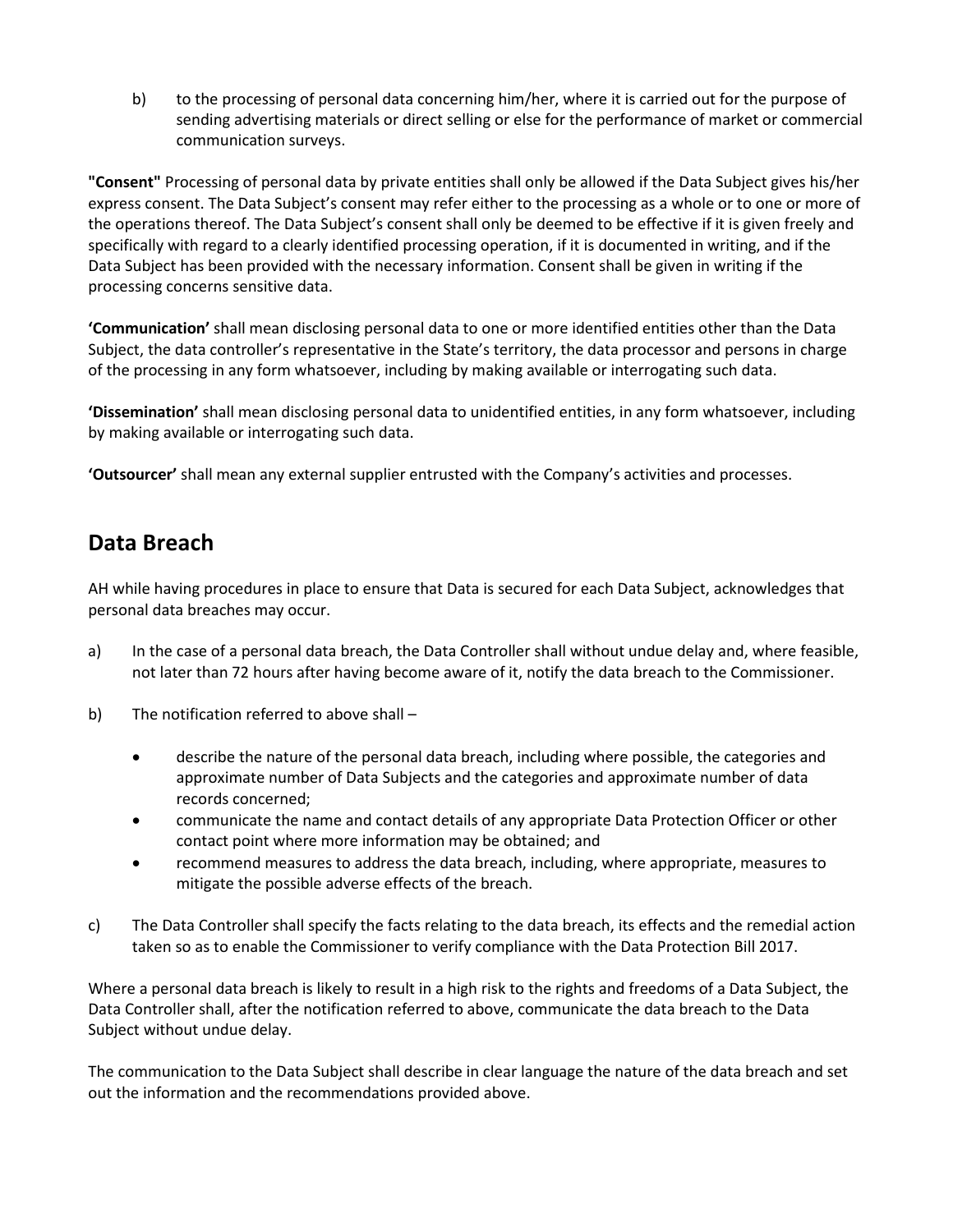b) to the processing of personal data concerning him/her, where it is carried out for the purpose of sending advertising materials or direct selling or else for the performance of market or commercial communication surveys.

**"Consent"** Processing of personal data by private entities shall only be allowed if the Data Subject gives his/her express consent. The Data Subject's consent may refer either to the processing as a whole or to one or more of the operations thereof. The Data Subject's consent shall only be deemed to be effective if it is given freely and specifically with regard to a clearly identified processing operation, if it is documented in writing, and if the Data Subject has been provided with the necessary information. Consent shall be given in writing if the processing concerns sensitive data.

**'Communication'** shall mean disclosing personal data to one or more identified entities other than the Data Subject, the data controller's representative in the State's territory, the data processor and persons in charge of the processing in any form whatsoever, including by making available or interrogating such data.

**'Dissemination'** shall mean disclosing personal data to unidentified entities, in any form whatsoever, including by making available or interrogating such data.

**'Outsourcer'** shall mean any external supplier entrusted with the Company's activities and processes.

## **Data Breach**

AH while having procedures in place to ensure that Data is secured for each Data Subject, acknowledges that personal data breaches may occur.

- a) In the case of a personal data breach, the Data Controller shall without undue delay and, where feasible, not later than 72 hours after having become aware of it, notify the data breach to the Commissioner.
- b) The notification referred to above shall
	- describe the nature of the personal data breach, including where possible, the categories and approximate number of Data Subjects and the categories and approximate number of data records concerned;
	- communicate the name and contact details of any appropriate Data Protection Officer or other contact point where more information may be obtained; and
	- recommend measures to address the data breach, including, where appropriate, measures to mitigate the possible adverse effects of the breach.
- c) The Data Controller shall specify the facts relating to the data breach, its effects and the remedial action taken so as to enable the Commissioner to verify compliance with the Data Protection Bill 2017.

Where a personal data breach is likely to result in a high risk to the rights and freedoms of a Data Subject, the Data Controller shall, after the notification referred to above, communicate the data breach to the Data Subject without undue delay.

The communication to the Data Subject shall describe in clear language the nature of the data breach and set out the information and the recommendations provided above.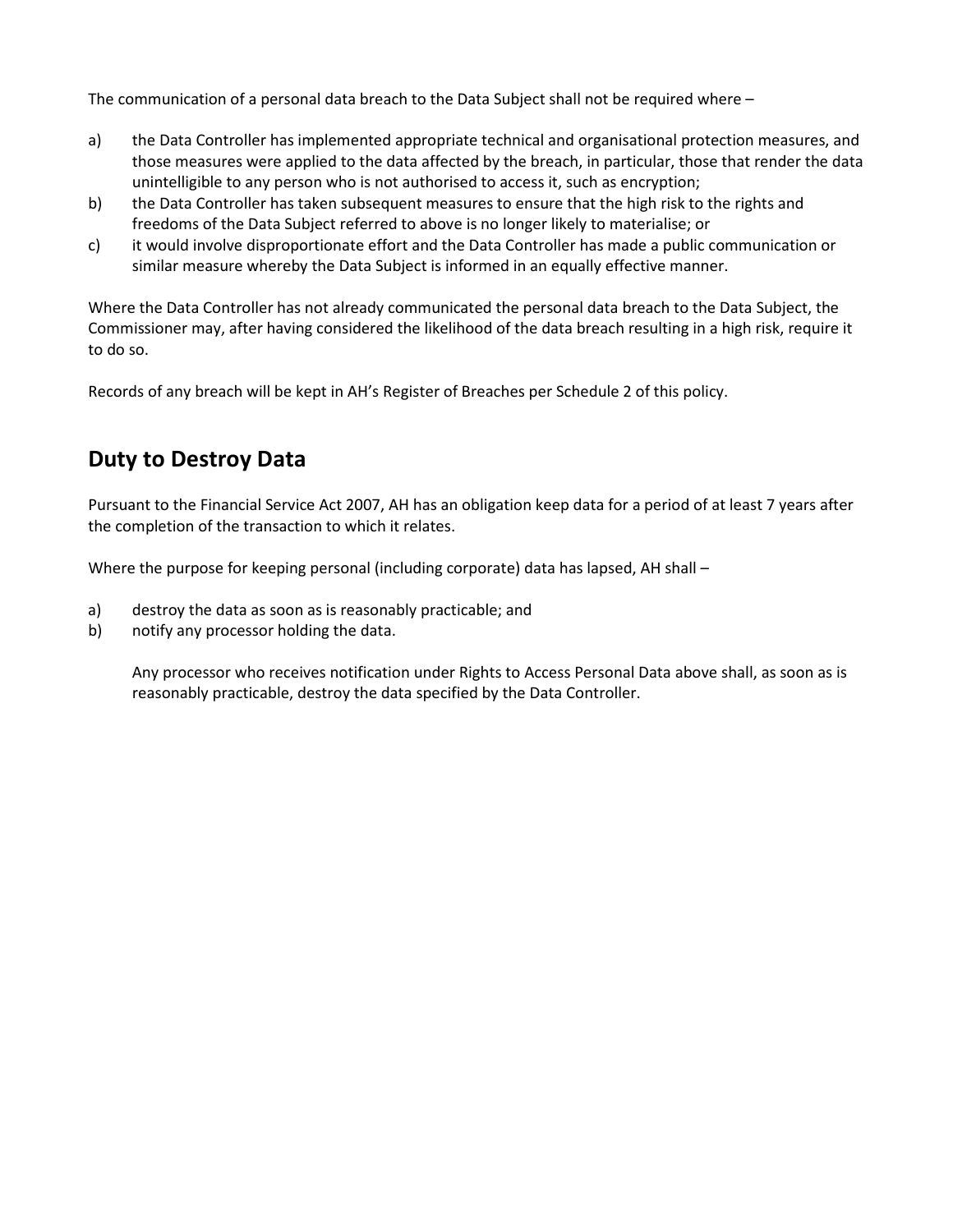The communication of a personal data breach to the Data Subject shall not be required where –

- a) the Data Controller has implemented appropriate technical and organisational protection measures, and those measures were applied to the data affected by the breach, in particular, those that render the data unintelligible to any person who is not authorised to access it, such as encryption;
- b) the Data Controller has taken subsequent measures to ensure that the high risk to the rights and freedoms of the Data Subject referred to above is no longer likely to materialise; or
- c) it would involve disproportionate effort and the Data Controller has made a public communication or similar measure whereby the Data Subject is informed in an equally effective manner.

Where the Data Controller has not already communicated the personal data breach to the Data Subject, the Commissioner may, after having considered the likelihood of the data breach resulting in a high risk, require it to do so.

Records of any breach will be kept in AH's Register of Breaches per Schedule 2 of this policy.

## **Duty to Destroy Data**

Pursuant to the Financial Service Act 2007, AH has an obligation keep data for a period of at least 7 years after the completion of the transaction to which it relates.

Where the purpose for keeping personal (including corporate) data has lapsed, AH shall –

- a) destroy the data as soon as is reasonably practicable; and
- b) notify any processor holding the data.

Any processor who receives notification under Rights to Access Personal Data above shall, as soon as is reasonably practicable, destroy the data specified by the Data Controller.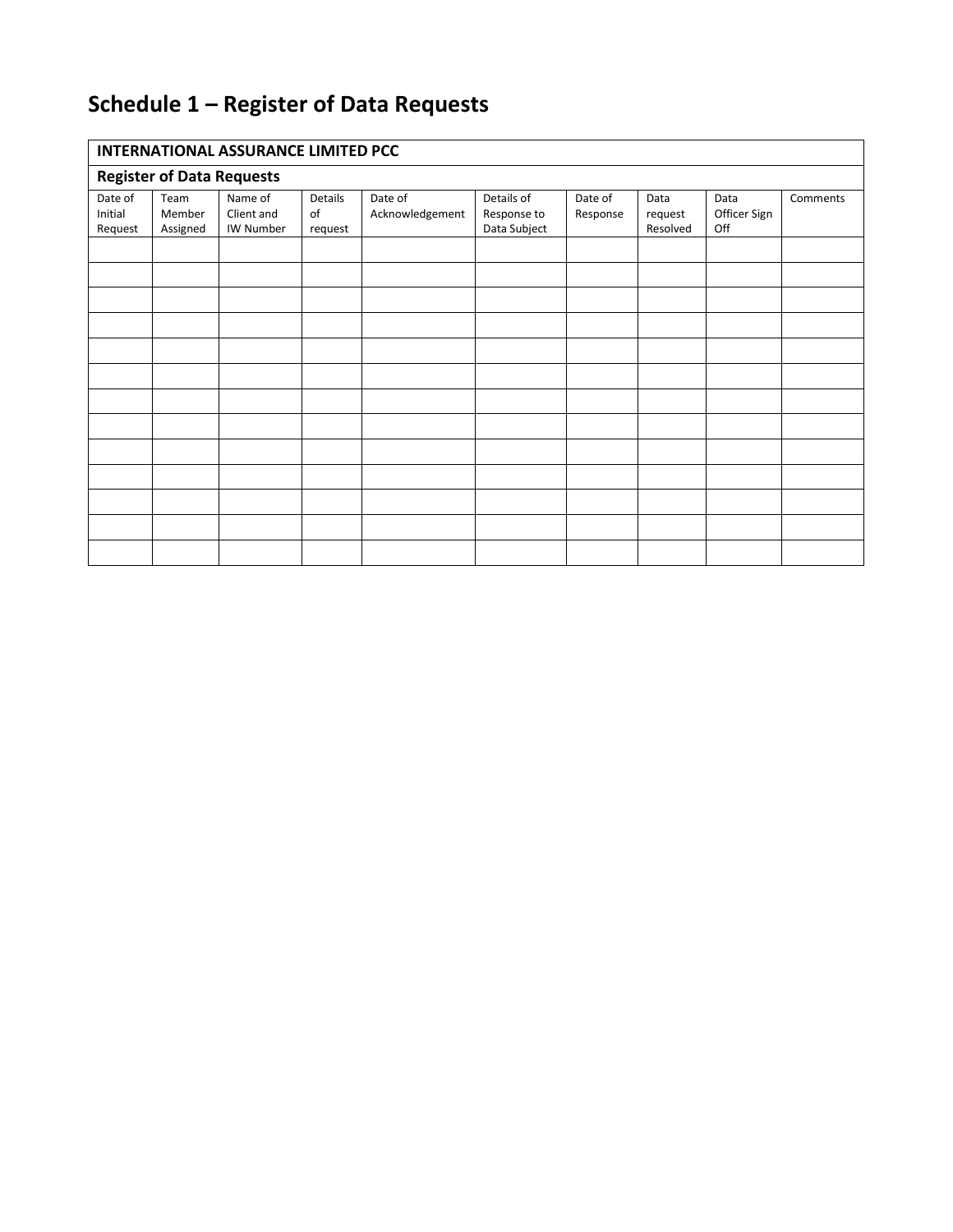# **Schedule 1 – Register of Data Requests**

### **INTERNATIONAL ASSURANCE LIMITED PCC**

| - - -                            |          |            |         |                 |              |          |          |              |          |
|----------------------------------|----------|------------|---------|-----------------|--------------|----------|----------|--------------|----------|
| <b>Register of Data Requests</b> |          |            |         |                 |              |          |          |              |          |
| Date of                          | Team     | Name of    | Details | Date of         | Details of   | Date of  | Data     | Data         | Comments |
| Initial                          | Member   | Client and | of      | Acknowledgement | Response to  | Response | request  | Officer Sign |          |
| Request                          | Assigned | IW Number  | request |                 | Data Subject |          | Resolved | Off          |          |
|                                  |          |            |         |                 |              |          |          |              |          |
|                                  |          |            |         |                 |              |          |          |              |          |
|                                  |          |            |         |                 |              |          |          |              |          |
|                                  |          |            |         |                 |              |          |          |              |          |
|                                  |          |            |         |                 |              |          |          |              |          |
|                                  |          |            |         |                 |              |          |          |              |          |
|                                  |          |            |         |                 |              |          |          |              |          |
|                                  |          |            |         |                 |              |          |          |              |          |
|                                  |          |            |         |                 |              |          |          |              |          |
|                                  |          |            |         |                 |              |          |          |              |          |
|                                  |          |            |         |                 |              |          |          |              |          |
|                                  |          |            |         |                 |              |          |          |              |          |
|                                  |          |            |         |                 |              |          |          |              |          |
|                                  |          |            |         |                 |              |          |          |              |          |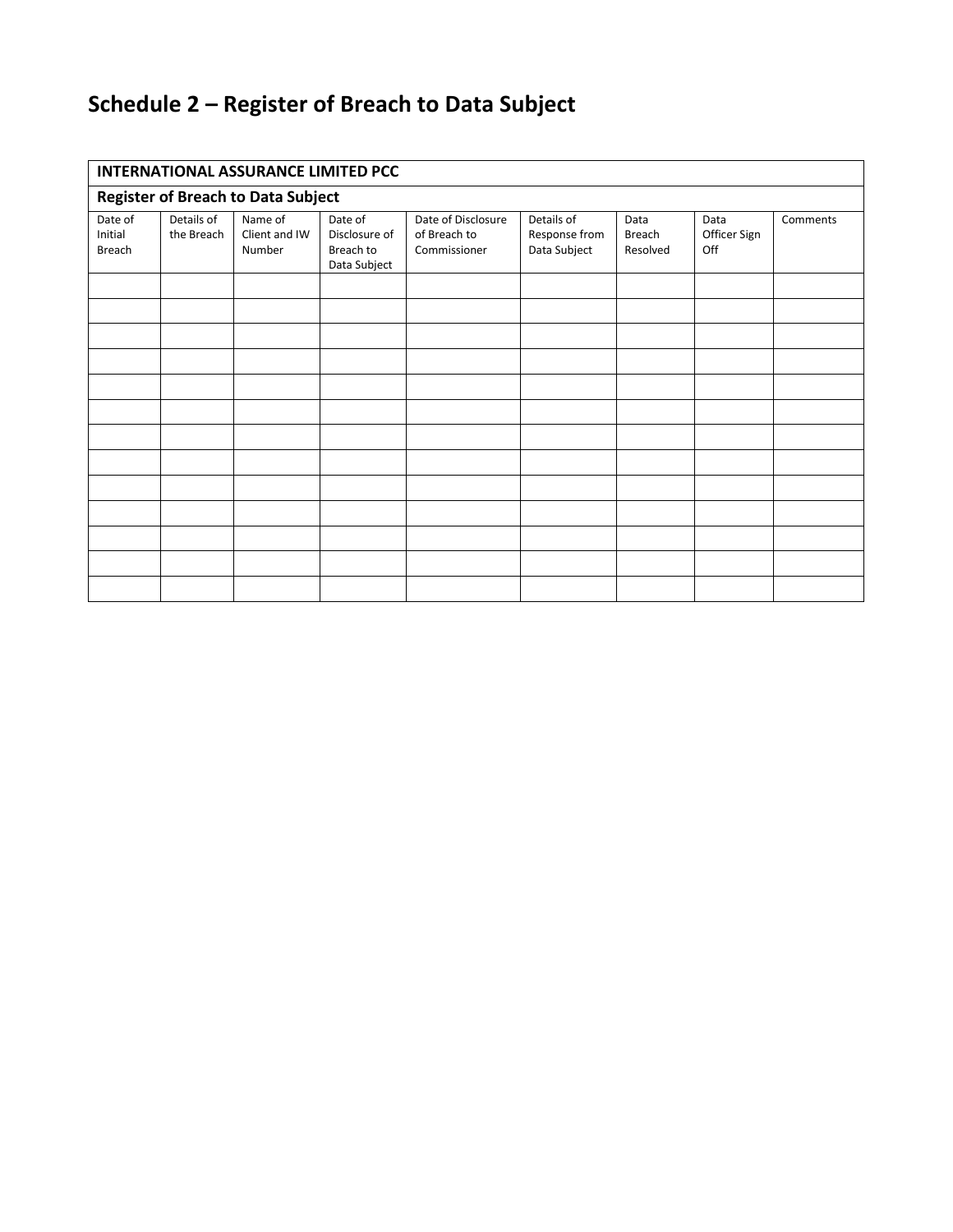# **Schedule 2 – Register of Breach to Data Subject**

| <b>INTERNATIONAL ASSURANCE LIMITED PCC</b> |                          |                                    |                                                       |                                                    |                                             |                            |                             |          |  |
|--------------------------------------------|--------------------------|------------------------------------|-------------------------------------------------------|----------------------------------------------------|---------------------------------------------|----------------------------|-----------------------------|----------|--|
| <b>Register of Breach to Data Subject</b>  |                          |                                    |                                                       |                                                    |                                             |                            |                             |          |  |
| Date of<br>Initial<br>Breach               | Details of<br>the Breach | Name of<br>Client and IW<br>Number | Date of<br>Disclosure of<br>Breach to<br>Data Subject | Date of Disclosure<br>of Breach to<br>Commissioner | Details of<br>Response from<br>Data Subject | Data<br>Breach<br>Resolved | Data<br>Officer Sign<br>Off | Comments |  |
|                                            |                          |                                    |                                                       |                                                    |                                             |                            |                             |          |  |
|                                            |                          |                                    |                                                       |                                                    |                                             |                            |                             |          |  |
|                                            |                          |                                    |                                                       |                                                    |                                             |                            |                             |          |  |
|                                            |                          |                                    |                                                       |                                                    |                                             |                            |                             |          |  |
|                                            |                          |                                    |                                                       |                                                    |                                             |                            |                             |          |  |
|                                            |                          |                                    |                                                       |                                                    |                                             |                            |                             |          |  |
|                                            |                          |                                    |                                                       |                                                    |                                             |                            |                             |          |  |
|                                            |                          |                                    |                                                       |                                                    |                                             |                            |                             |          |  |
|                                            |                          |                                    |                                                       |                                                    |                                             |                            |                             |          |  |
|                                            |                          |                                    |                                                       |                                                    |                                             |                            |                             |          |  |
|                                            |                          |                                    |                                                       |                                                    |                                             |                            |                             |          |  |
|                                            |                          |                                    |                                                       |                                                    |                                             |                            |                             |          |  |
|                                            |                          |                                    |                                                       |                                                    |                                             |                            |                             |          |  |